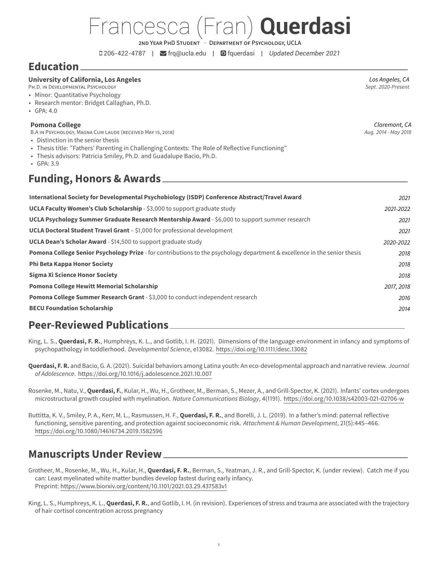# Francesca (Fran) **Querdasi**

2ND YEAR PHD STUDENT · DEPARTMENT OF PSYCHOLOGY, UCLA

206-422-4787 | [frq@ucla.edu](mailto:frq@ucla.edu) | [fquerdasi](https://github.com/fquerdasi) | *Updated December 2021*

### **Education**

## **University of California, Los Angeles** *Los Angeles, CA*

PH.D. IN DEVELOPMENTAL PSYCHOLOGY

- Minor: Quantitative Psychology
- Research mentor: Bridget Callaghan, Ph.D.
- GPA: 4.0

#### **Pomona College** *Claremont, CA*

B.A IN PSYCHOLOGY, MAGNA CUM LAUDE (RECEIVED MAY 15, 2018) *Aug. 2014 - May 2018*

- Distinction in the senior thesis
- Thesis title: "Fathers' Parenting in Challenging Contexts: The Role of Reflective Functioning"
- Thesis advisors: Patricia Smiley, Ph.D. and Guadalupe Bacio, Ph.D.
- GPA: 3.9

### **Funding, Honors & Awards**

| 2021       |
|------------|
| 2021-2022  |
| 2021       |
| 2021       |
| 2020-2022  |
| 2018       |
| 2018       |
| 2018       |
| 2017, 2018 |
| 2016       |
| 2014       |
|            |

### **Peer-Reviewed Publications**

King, L. S., **Querdasi, F. R.**, Humphreys, K. L., and Gotlib, I. H. (2021). Dimensions of the language environment in infancy and symptoms of psychopathology in toddlerhood. *Developmental Science*, e13082. <https://doi.org/10.1111/desc.13082>

**Querdasi, F. R.** and Bacio, G. A. (2021). Suicidal behaviors among Latina youth: An eco-developmental approach and narrative review. *Journal of Adolescence*. <https://doi.org/10.1016/j.adolescence.2021.10.007>

Rosenke, M., Natu, V., **Querdasi, F.**, Kular, H., Wu, H., Grotheer, M., Berman, S., Mezer, A., and Grill-Spector, K. (2021). Infants' cortex undergoes microstructural growth coupled with myelination. *Nature Communications Biology*, 4(1191). <https://doi.org/10.1038/s42003-021-02706-w>

Buttitta, K. V., Smiley, P. A., Kerr, M. L., Rasmussen, H. F., **Querdasi, F. R.**, and Borelli, J. L. (2019). In a father's mind: paternal reflective functioning, sensitive parenting, and protection against socioeconomic risk. *Attachment & Human Development*, 21(5):445–466. <https://doi.org/10.1080/14616734.2019.1582596>

### **Manuscripts Under Review**

Grotheer, M., Rosenke, M., Wu, H., Kular, H., **Querdasi, F. R.**, Berman, S., Yeatman, J. R., and Grill-Spector, K. (under review). Catch me if you can: Least myelinated white matter bundles develop fastest during early infancy. Preprint: <https://www.biorxiv.org/content/10.1101/2021.03.29.437583v1>

King, L. S., Humphreys, K. L., **Querdasi, F. R.**, and Gotlib, I. H. (in revision). Experiences of stress and trauma are associated with the trajectory of hair cortisol concentration across pregnancy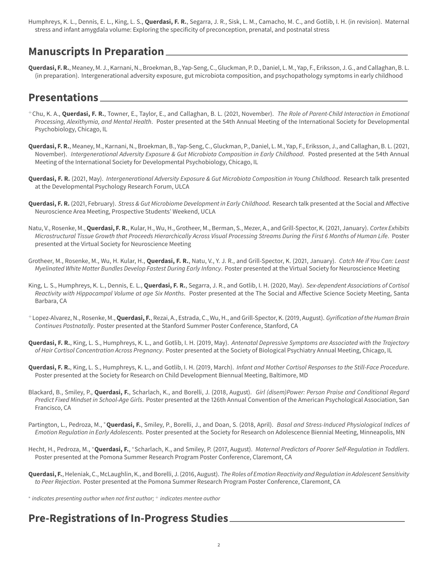Humphreys, K. L., Dennis, E. L., King, L. S., **Querdasi, F. R.**, Segarra, J. R., Sisk, L. M., Camacho, M. C., and Gotlib, I. H. (in revision). Maternal stress and infant amygdala volume: Exploring the specificity of preconception, prenatal, and postnatal stress

### **Manuscripts In Preparation**

**Querdasi, F. R.**, Meaney, M. J., Karnani, N., Broekman, B., Yap-Seng, C., Gluckman, P. D., Daniel, L. M., Yap, F., Eriksson, J. G., and Callaghan, B. L. (in preparation). Intergenerational adversity exposure, gut microbiota composition, and psychopathology symptoms in early childhood

### **Presentations**

- <sup>+</sup>Chu, K. A., **Querdasi, F. R.**, Towner, E., Taylor, E., and Callaghan, B. L. (2021, November). *The Role of Parent-Child Interaction in Emotional Processing, Alexithymia, and Mental Health*. Poster presented at the 54th Annual Meeting of the International Society for Developmental Psychobiology, Chicago, IL
- **Querdasi, F. R.**, Meaney, M., Karnani, N., Broekman, B., Yap-Seng, C., Gluckman, P., Daniel, L. M., Yap, F., Eriksson, J., and Callaghan, B. L. (2021, November). *Intergenerational Adversity Exposure & Gut Microbiota Composition in Early Childhood*. Posted presented at the 54th Annual Meeting of the International Society for Developmental Psychobiology, Chicago, IL
- **Querdasi, F. R.** (2021, May). *Intergenerational Adversity Exposure & Gut Microbiota Composition in Young Childhood*. Research talk presented at the Developmental Psychology Research Forum, ULCA
- **Querdasi, F. R.** (2021, February). *Stress & Gut Microbiome Development in Early Childhood*. Research talk presented at the Social and Affective Neuroscience Area Meeting, Prospective Students' Weekend, UCLA
- Natu, V., Rosenke, M.,**Querdasi, F. R.**, Kular, H., Wu, H., Grotheer, M., Berman, S., Mezer, A., and Grill-Spector, K. (2021, January). *Cortex Exhibits Microstructural Tissue Growth that Proceeds Hierarchically Across Visual Processing Streams During the First 6 Months of Human Life*. Poster presented at the Virtual Society for Neuroscience Meeting
- Grotheer, M., Rosenke, M., Wu, H. Kular, H., **Querdasi, F. R.**, Natu, V., Y. J. R., and Grill-Spector, K. (2021, January). *Catch Me if You Can: Least Myelinated White Matter Bundles Develop Fastest During Early Infancy*. Poster presented at the Virtual Society for Neuroscience Meeting
- King, L. S., Humphreys, K. L., Dennis, E. L., **Querdasi, F. R.**, Segarra, J. R., and Gotlib, I. H. (2020, May). *Sex-dependent Associations of Cortisol Reactivity with Hippocampal Volume at age Six Months*. Poster presented at the The Social and Affective Science Society Meeting, Santa Barbara, CA
- <sup>+</sup>Lopez-Alvarez, N., Rosenke, M.,**Querdasi, F.**, Rezai, A., Estrada, C., Wu, H., and Grill-Spector, K. (2019, August). *Gyrification of the Human Brain Continues Postnatally*. Poster presented at the Stanford Summer Poster Conference, Stanford, CA
- **Querdasi, F. R.**, King, L. S., Humphreys, K. L., and Gotlib, I. H. (2019, May). *Antenatal Depressive Symptoms are Associated with the Trajectory of Hair Cortisol Concentration Across Pregnancy*. Poster presented at the Society of Biological Psychiatry Annual Meeting, Chicago, IL
- **Querdasi, F. R.**, King, L. S., Humphreys, K. L., and Gotlib, I. H. (2019, March). *Infant and Mother Cortisol Responses to the Still-Face Procedure*. Poster presented at the Society for Research on Child Development Biennual Meeting, Baltimore, MD
- Blackard, B., Smiley, P., **Querdasi, F.**, Scharlach, K., and Borelli, J. (2018, August). *Girl (disem)Power: Person Praise and Conditional Regard Predict Fixed Mindset in School-Age Girls*. Poster presented at the 126th Annual Convention of the American Psychological Association, San Francisco, CA
- Partington, L., Pedroza, M., <sup>∗</sup>**Querdasi, F.**, Smiley, P., Borelli, J., and Doan, S. (2018, April). *Basal and Stress-Induced Physiological Indices of Emotion Regulation in Early Adolescents*. Poster presented at the Society for Research on Adolescence Biennial Meeting, Minneapolis, MN
- Hecht, H., Pedroza, M., \*Querdasi, F., \*Scharlach, K., and Smiley, P. (2017, August). *Maternal Predictors of Poorer Self-Regulation in Toddlers*. Poster presented at the Pomona Summer Research Program Poster Conference, Claremont, CA
- **Querdasi, F.**, Heleniak, C., McLaughlin, K., and Borelli, J. (2016, August). *The Roles of Emotion Reactivity and Regulation in Adolescent Sensitivity to Peer Rejection*. Poster presented at the Pomona Summer Research Program Poster Conference, Claremont, CA
- ∗ *indicates presenting author when not first author;* <sup>+</sup> *indicates mentee author*

## **Pre-Registrations of In-Progress Studies**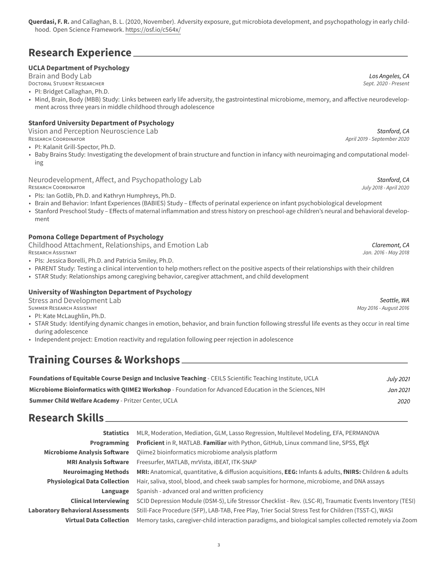## **Research Experience**

### **UCLA Department of Psychology**

[Brain and Body Lab](https://brainandbodylab.psych.ucla.edu/) *Los Angeles, CA*

DOCTORAL STUDENT RESEARCHER *Sept. 2020 - Present*

• PI: Bridget Callaghan, Ph.D.

• Mind, Brain, Body (MBB) Study: Links between early life adversity, the gastrointestinal microbiome, memory, and affective neurodevelopment across three years in middle childhood through adolescence

### **Stanford University Department of Psychology**

[Vision and Perception Neuroscience Lab](http://vpnl.stanford.edu/##/) *Stanford, CA*

- PI: Kalanit Grill-Spector, Ph.D.
- Baby Brains Study: Investigating the development of brain structure and function in infancy with neuroimaging and computational modeling

[Neurodevelopment, Affect, and Psychopathology Lab](https://mood.stanford.edu/) *Stanford, CA*

- PIs: Ian Gotlib, Ph.D. and Kathryn Humphreys, Ph.D.
- Brain and Behavior: Infant Experiences (BABIES) Study Effects of perinatal experience on infant psychobiological development
- Stanford Preschool Study Effects of maternal inflammation and stress history on preschool-age children's neural and behavioral development

#### **Pomona College Department of Psychology**

[Childhood Attachment, Relationships, and Emotion Lab](https://research.pomona.edu/carelab/) *Claremont, CA*

- PIs: Jessica Borelli, Ph.D. and Patricia Smiley, Ph.D.
- PARENT Study: Testing a clinical intervention to help mothers reflect on the positive aspects of their relationships with their children
- STAR Study: Relationships among caregiving behavior, caregiver attachment, and child development

#### **University of Washington Department of Psychology**

[Stress and Development Lab](https://sdlab.fas.harvard.edu/) *Seattle, WA* SUMMER RESEARCH ASSISTANT *May 2016 - August 2016*

- PI: Kate McLaughlin, Ph.D.
- STAR Study: Identifying dynamic changes in emotion, behavior, and brain function following stressful life events as they occur in real time during adolescence
- Independent project: Emotion reactivity and regulation following peer rejection in adolescence

### **Training Courses & Workshops**

| <b>Foundations of Equitable Course Design and Inclusive Teaching - CEILS Scientific Teaching Institute, UCLA</b> | July 2021 |
|------------------------------------------------------------------------------------------------------------------|-----------|
| Microbiome Bioinformatics with OIIME2 Workshop - Foundation for Advanced Education in the Sciences, NIH          | Jan 2021  |
| <b>Summer Child Welfare Academy - Pritzer Center, UCLA</b>                                                       | 2020      |

### **Research Skills**

| <b>Statistics</b>                        | MLR, Moderation, Mediation, GLM, Lasso Regression, Multilevel Modeling, EFA, PERMANOVA                    |
|------------------------------------------|-----------------------------------------------------------------------------------------------------------|
| <b>Programming</b>                       | Proficient in R, MATLAB. Familiar with Python, GitHub, Linux command line, SPSS, ETEX                     |
| <b>Microbiome Analysis Software</b>      | Oiime2 bioinformatics microbiome analysis platform                                                        |
| <b>MRI Analysis Software</b>             | Freesurfer, MATLAB, mrVista, iBEAT, ITK-SNAP                                                              |
| <b>Neuroimaging Methods</b>              | MRI: Anatomical, quantitative, & diffusion acquisitions, EEG: Infants & adults, fNIRS: Children & adults  |
| <b>Physiological Data Collection</b>     | Hair, saliva, stool, blood, and cheek swab samples for hormone, microbiome, and DNA assays                |
| Language                                 | Spanish - advanced oral and written proficiency                                                           |
| <b>Clinical Interviewing</b>             | SCID Depression Module (DSM-5), Life Stressor Checklist - Rev. (LSC-R), Traumatic Events Inventory (TESI) |
| <b>Laboratory Behavioral Assessments</b> | Still-Face Procedure (SFP), LAB-TAB, Free Play, Trier Social Stress Test for Children (TSST-C), WASI      |
| <b>Virtual Data Collection</b>           | Memory tasks, caregiver-child interaction paradigms, and biological samples collected remotely via Zoom   |
|                                          |                                                                                                           |

RESEARCH COORDINATOR *July 2018 - April 2020*

RESEARCH ASSISTANT *Jan. 2016 - May 2018*

RESEARCH COORDINATOR *April 2019 - September 2020*